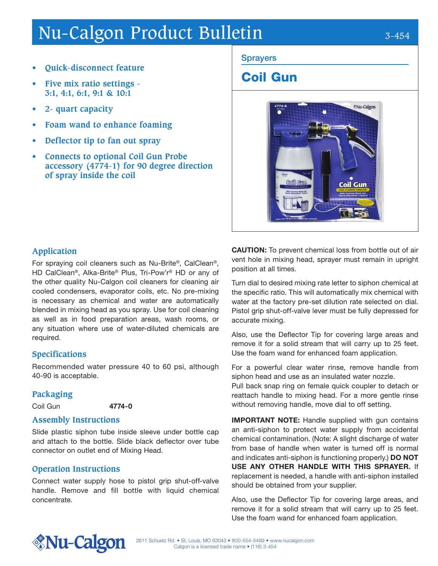# Nu-Calgon Product Bulletin 3-454

- **• Quick-disconnect feature**
- **• Five mix ratio settings 3:1, 4:1, 6:1, 9:1 & 10:1**
- **• 2- quart capacity**
- **• Foam wand to enhance foaming**
- **• Deflector tip to fan out spray**
- **• Connects to optional Coil Gun Probe accessory (4774-1) for 90 degree direction of spray inside the coil**

#### **Sprayers**

# Coil Gun



# **Application**

For spraying coil cleaners such as Nu-Brite®, CalClean®, HD CalClean®, Alka-Brite® Plus, Tri-Pow'r® HD or any of the other quality Nu-Calgon coil cleaners for cleaning air cooled condensers, evaporator coils, etc. No pre-mixing is necessary as chemical and water are automatically blended in mixing head as you spray. Use for coil cleaning as well as in food preparation areas, wash rooms, or any situation where use of water-diluted chemicals are required.

# **Specifications**

Recommended water pressure 40 to 60 psi, although 40-90 is acceptable.

# **Packaging**

Coil Gun 4774-0

#### **Assembly Instructions**

Slide plastic siphon tube inside sleeve under bottle cap and attach to the bottle. Slide black deflector over tube connector on outlet end of Mixing Head.

#### **Operation Instructions**

Connect water supply hose to pistol grip shut-off-valve handle. Remove and fill bottle with liquid chemical concentrate.

CAUTION: To prevent chemical loss from bottle out of air vent hole in mixing head, sprayer must remain in upright position at all times.

Turn dial to desired mixing rate letter to siphon chemical at the specific ratio. This will automatically mix chemical with water at the factory pre-set dilution rate selected on dial. Pistol grip shut-off-valve lever must be fully depressed for accurate mixing.

Also, use the Deflector Tip for covering large areas and remove it for a solid stream that will carry up to 25 feet. Use the foam wand for enhanced foam application.

For a powerful clear water rinse, remove handle from siphon head and use as an insulated water nozzle. Pull back snap ring on female quick coupler to detach or reattach handle to mixing head. For a more gentle rinse without removing handle, move dial to off setting.

**IMPORTANT NOTE:** Handle supplied with gun contains an anti-siphon to protect water supply from accidental chemical contamination. (Note: A slight discharge of water from base of handle when water is turned off is normal and indicates anti-siphon is functioning properly.) DO NOT USE ANY OTHER HANDLE WITH THIS SPRAYER. If replacement is needed, a handle with anti-siphon installed should be obtained from your supplier.

Also, use the Deflector Tip for covering large areas, and remove it for a solid stream that will carry up to 25 feet. Use the foam wand for enhanced foam application.